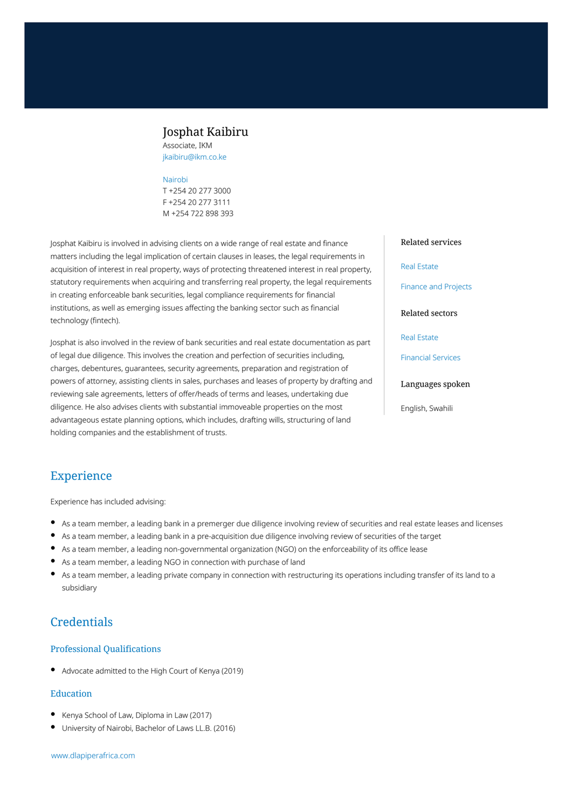## Josphat Kaibiru

Associate, IKM jkaibiru@ikm.co.ke

#### [Nairobi](https://www.dlapiperafrica.com/kenya/locations/nairobi.html)

T +254 20 277 3000 F +254 20 277 3111 M +254 722 898 393

Josphat Kaibiru is involved in advising clients on a wide range of real estate and finance matters including the legal implication of certain clauses in leases, the legal requirements in acquisition of interest in real property, ways of protecting threatened interest in real property, statutory requirements when acquiring and transferring real property, the legal requirements in creating enforceable bank securities, legal compliance requirements for financial institutions, as well as emerging issues affecting the banking sector such as financial technology (fintech).

Josphat is also involved in the review of bank securities and real estate documentation as part of legal due diligence. This involves the creation and perfection of securities including, charges, debentures, guarantees, security agreements, preparation and registration of powers of attorney, assisting clients in sales, purchases and leases of property by drafting and reviewing sale agreements, letters of offer/heads of terms and leases, undertaking due diligence. He also advises clients with substantial immoveable properties on the most advantageous estate planning options, which includes, drafting wills, structuring of land holding companies and the establishment of trusts.

#### Related services

#### [Real Estate](https://www.dlapiperafrica.com/en/kenya/services/real-estate.html)

[Finance and Projects](https://www.dlapiperafrica.com/en/kenya/services/finance-and-projects.html)

#### Related sectors

[Real Estate](https://www.dlapiperafrica.com/en/kenya/sectors/real-estate.html)

[Financial Services](https://www.dlapiperafrica.com/en/kenya/sectors/financial-services.html)

#### Languages spoken

English, Swahili

# Experience

Experience has included advising:

- As a team member, a leading bank in a premerger due diligence involving review of securities and real estate leases and licenses
- As a team member, a leading bank in a pre-acquisition due diligence involving review of securities of the target
- As a team member, a leading non-governmental organization (NGO) on the enforceability of its office lease
- As a team member, a leading NGO in connection with purchase of land
- As a team member, a leading private company in connection with restructuring its operations including transfer of its land to a subsidiary

# **Credentials**

#### Professional Qualifications

Advocate admitted to the High Court of Kenya (2019)

#### Education

- Kenya School of Law, Diploma in Law (2017)
- University of Nairobi, Bachelor of Laws LL.B. (2016)